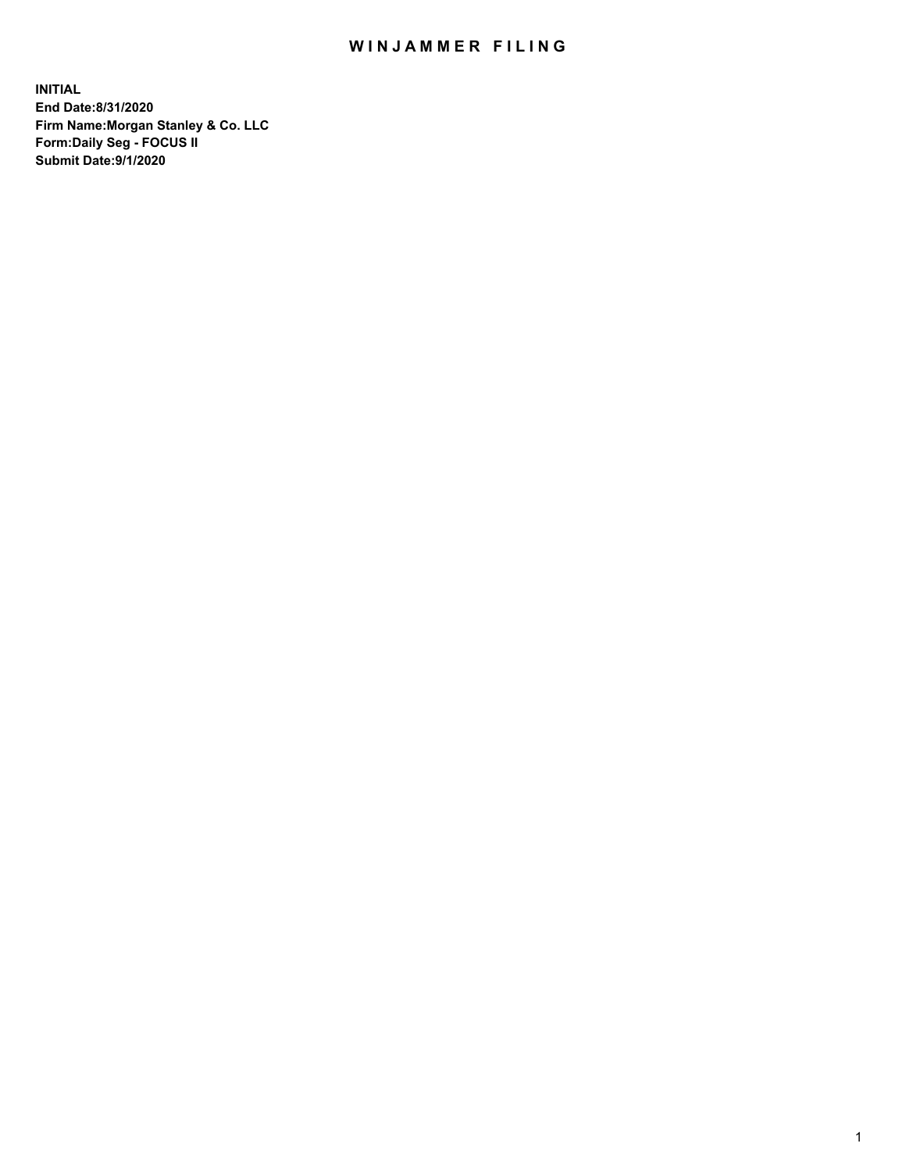## WIN JAMMER FILING

**INITIAL End Date:8/31/2020 Firm Name:Morgan Stanley & Co. LLC Form:Daily Seg - FOCUS II Submit Date:9/1/2020**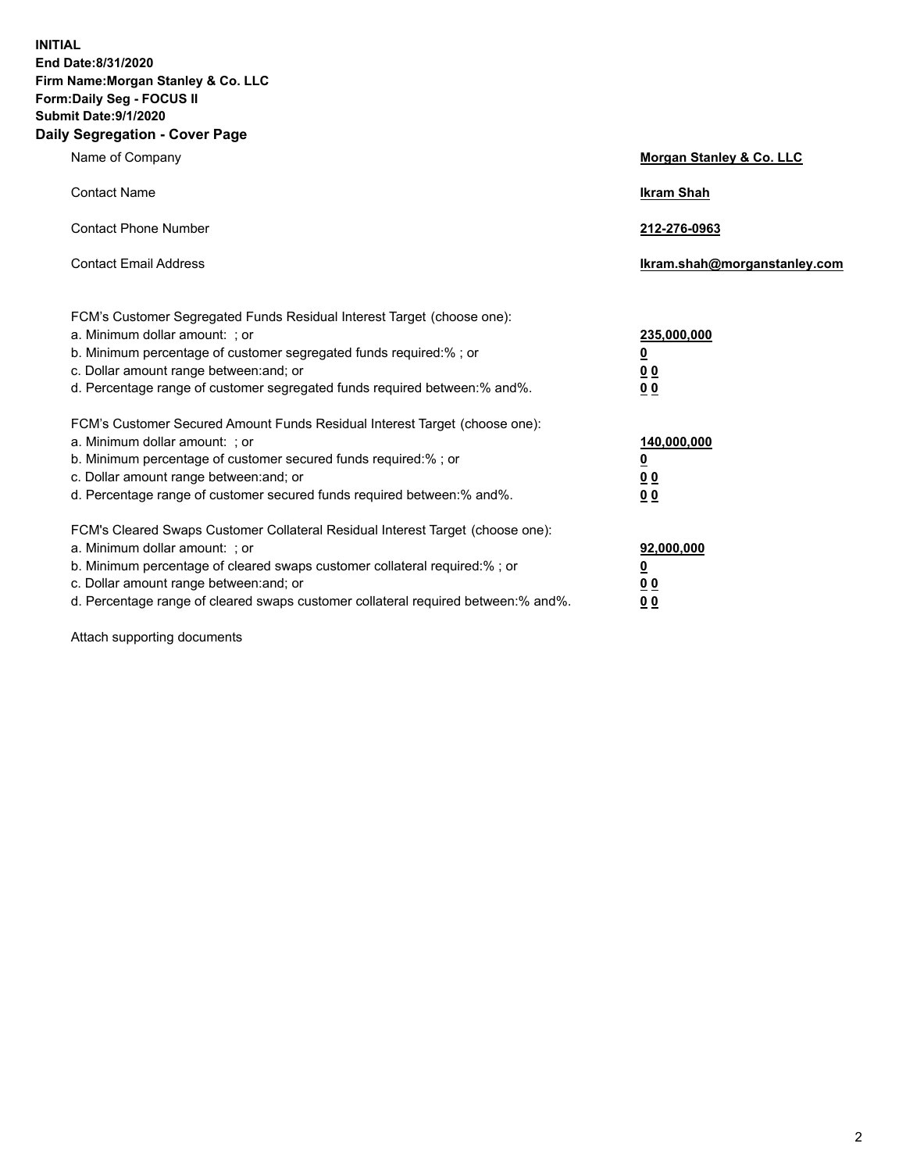**INITIAL End Date:8/31/2020 Firm Name:Morgan Stanley & Co. LLC Form:Daily Seg - FOCUS II Submit Date:9/1/2020 Daily Segregation - Cover Page**

| $-99.99$ and $-99.0$                                                                                                                                                                                                                                                                                                           |                                              |
|--------------------------------------------------------------------------------------------------------------------------------------------------------------------------------------------------------------------------------------------------------------------------------------------------------------------------------|----------------------------------------------|
| Name of Company                                                                                                                                                                                                                                                                                                                | <b>Morgan Stanley &amp; Co. LLC</b>          |
| <b>Contact Name</b>                                                                                                                                                                                                                                                                                                            | <b>Ikram Shah</b>                            |
| <b>Contact Phone Number</b>                                                                                                                                                                                                                                                                                                    | 212-276-0963                                 |
| <b>Contact Email Address</b>                                                                                                                                                                                                                                                                                                   | Ikram.shah@morganstanley.com                 |
| FCM's Customer Segregated Funds Residual Interest Target (choose one):<br>a. Minimum dollar amount: ; or<br>b. Minimum percentage of customer segregated funds required:% ; or<br>c. Dollar amount range between: and; or<br>d. Percentage range of customer segregated funds required between: % and %.                       | 235,000,000<br><u>0</u><br><u>0 0</u><br>0 Q |
| FCM's Customer Secured Amount Funds Residual Interest Target (choose one):<br>a. Minimum dollar amount: ; or<br>b. Minimum percentage of customer secured funds required:%; or<br>c. Dollar amount range between: and; or<br>d. Percentage range of customer secured funds required between:% and%.                            | 140,000,000<br><u>0</u><br><u>00</u><br>0 Q  |
| FCM's Cleared Swaps Customer Collateral Residual Interest Target (choose one):<br>a. Minimum dollar amount: ; or<br>b. Minimum percentage of cleared swaps customer collateral required:% ; or<br>c. Dollar amount range between: and; or<br>d. Percentage range of cleared swaps customer collateral required between:% and%. | 92,000,000<br><u>0</u><br><u>00</u><br>00    |

Attach supporting documents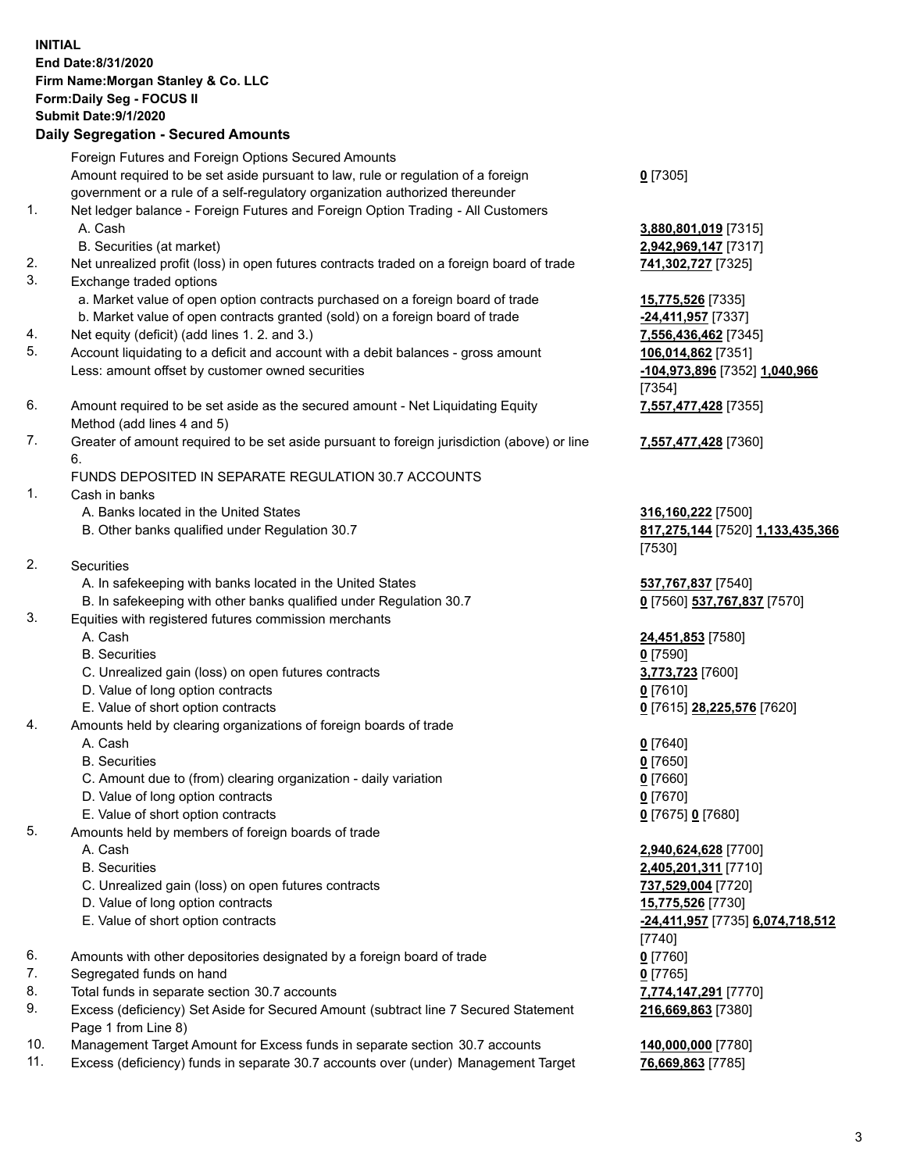|     | <b>INITIAL</b><br>End Date:8/31/2020<br>Firm Name: Morgan Stanley & Co. LLC<br>Form: Daily Seg - FOCUS II<br><b>Submit Date: 9/1/2020</b><br><b>Daily Segregation - Secured Amounts</b>                                 |                                                                  |
|-----|-------------------------------------------------------------------------------------------------------------------------------------------------------------------------------------------------------------------------|------------------------------------------------------------------|
|     |                                                                                                                                                                                                                         |                                                                  |
| 1.  | Foreign Futures and Foreign Options Secured Amounts<br>Amount required to be set aside pursuant to law, rule or regulation of a foreign<br>government or a rule of a self-regulatory organization authorized thereunder | $0$ [7305]                                                       |
|     | Net ledger balance - Foreign Futures and Foreign Option Trading - All Customers<br>A. Cash<br>B. Securities (at market)                                                                                                 | 3,880,801,019 [7315]<br>2,942,969,147 [7317]                     |
| 2.  | Net unrealized profit (loss) in open futures contracts traded on a foreign board of trade                                                                                                                               | 741,302,727 [7325]                                               |
| 3.  | Exchange traded options                                                                                                                                                                                                 |                                                                  |
|     | a. Market value of open option contracts purchased on a foreign board of trade                                                                                                                                          | <b>15,775,526</b> [7335]                                         |
|     | b. Market value of open contracts granted (sold) on a foreign board of trade                                                                                                                                            | $-24,411,957$ [7337]                                             |
| 4.  | Net equity (deficit) (add lines 1. 2. and 3.)                                                                                                                                                                           | 7,556,436,462 [7345]                                             |
| 5.  | Account liquidating to a deficit and account with a debit balances - gross amount<br>Less: amount offset by customer owned securities                                                                                   | 106,014,862 [7351]<br>-104,973,896 [7352] 1,040,966<br>[7354]    |
| 6.  | Amount required to be set aside as the secured amount - Net Liquidating Equity<br>Method (add lines 4 and 5)                                                                                                            | 7,557,477,428 [7355]                                             |
| 7.  | Greater of amount required to be set aside pursuant to foreign jurisdiction (above) or line<br>6.                                                                                                                       | 7,557,477,428 [7360]                                             |
|     | FUNDS DEPOSITED IN SEPARATE REGULATION 30.7 ACCOUNTS                                                                                                                                                                    |                                                                  |
| 1.  | Cash in banks                                                                                                                                                                                                           |                                                                  |
|     | A. Banks located in the United States<br>B. Other banks qualified under Regulation 30.7                                                                                                                                 | 316,160,222 [7500]<br>817,275,144 [7520] 1,133,435,366<br>[7530] |
| 2.  | Securities                                                                                                                                                                                                              |                                                                  |
|     | A. In safekeeping with banks located in the United States                                                                                                                                                               | 537,767,837 [7540]                                               |
|     | B. In safekeeping with other banks qualified under Regulation 30.7                                                                                                                                                      | 0 [7560] 537,767,837 [7570]                                      |
| 3.  | Equities with registered futures commission merchants                                                                                                                                                                   |                                                                  |
|     | A. Cash                                                                                                                                                                                                                 | 24,451,853 [7580]                                                |
|     | <b>B.</b> Securities                                                                                                                                                                                                    | $0$ [7590]                                                       |
|     | C. Unrealized gain (loss) on open futures contracts                                                                                                                                                                     | 3,773,723 [7600]                                                 |
|     | D. Value of long option contracts                                                                                                                                                                                       | $0$ [7610]                                                       |
|     | E. Value of short option contracts                                                                                                                                                                                      | 0 [7615] 28,225,576 [7620]                                       |
| 4.  | Amounts held by clearing organizations of foreign boards of trade                                                                                                                                                       |                                                                  |
|     | A. Cash                                                                                                                                                                                                                 | $0$ [7640]                                                       |
|     | <b>B.</b> Securities                                                                                                                                                                                                    | $0$ [7650]                                                       |
|     | C. Amount due to (from) clearing organization - daily variation                                                                                                                                                         | $0$ [7660]                                                       |
|     | D. Value of long option contracts                                                                                                                                                                                       | 0 [7670]                                                         |
|     | E. Value of short option contracts                                                                                                                                                                                      | 0 [7675] 0 [7680]                                                |
| 5.  | Amounts held by members of foreign boards of trade                                                                                                                                                                      |                                                                  |
|     | A. Cash                                                                                                                                                                                                                 | 2,940,624,628 [7700]                                             |
|     | <b>B.</b> Securities                                                                                                                                                                                                    | 2,405,201,311 [7710]                                             |
|     | C. Unrealized gain (loss) on open futures contracts                                                                                                                                                                     | 737,529,004 [7720]                                               |
|     | D. Value of long option contracts                                                                                                                                                                                       | 15,775,526 [7730]                                                |
|     | E. Value of short option contracts                                                                                                                                                                                      | -24,411,957 [7735] 6,074,718,512                                 |
|     |                                                                                                                                                                                                                         | $[7740]$                                                         |
| 6.  | Amounts with other depositories designated by a foreign board of trade                                                                                                                                                  | $0$ [7760]                                                       |
| 7.  | Segregated funds on hand                                                                                                                                                                                                | $0$ [7765]                                                       |
| 8.  | Total funds in separate section 30.7 accounts                                                                                                                                                                           | 7,774,147,291 [7770]                                             |
| 9.  | Excess (deficiency) Set Aside for Secured Amount (subtract line 7 Secured Statement<br>Page 1 from Line 8)                                                                                                              | 216,669,863 [7380]                                               |
| 10. | Management Target Amount for Excess funds in separate section 30.7 accounts                                                                                                                                             | 140,000,000 [7780]                                               |

11. Excess (deficiency) funds in separate 30.7 accounts over (under) Management Target **76,669,863** [7785]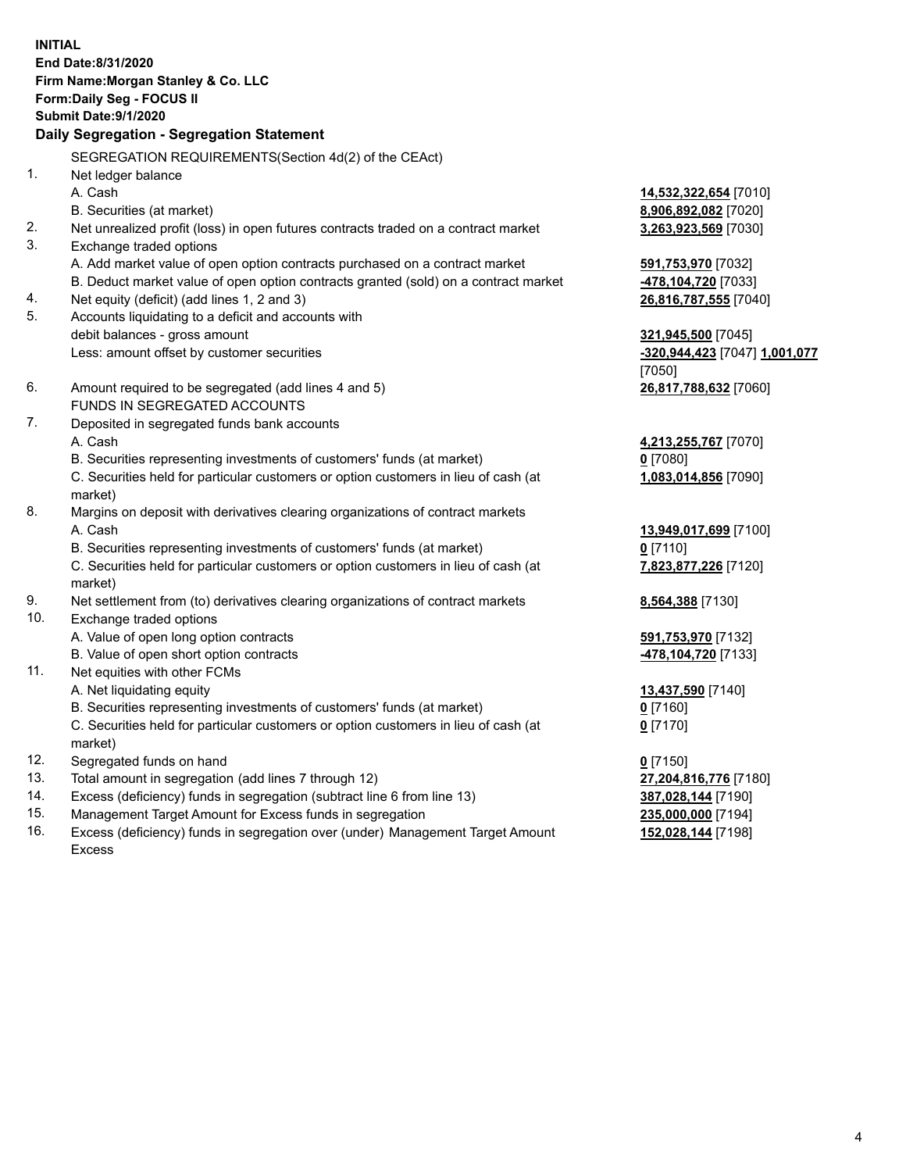**INITIAL End Date:8/31/2020 Firm Name:Morgan Stanley & Co. LLC Form:Daily Seg - FOCUS II Submit Date:9/1/2020 Daily Segregation - Segregation Statement** SEGREGATION REQUIREMENTS(Section 4d(2) of the CEAct) 1. Net ledger balance A. Cash **14,532,322,654** [7010] B. Securities (at market) **8,906,892,082** [7020] 2. Net unrealized profit (loss) in open futures contracts traded on a contract market **3,263,923,569** [7030] 3. Exchange traded options A. Add market value of open option contracts purchased on a contract market **591,753,970** [7032] B. Deduct market value of open option contracts granted (sold) on a contract market **-478,104,720** [7033] 4. Net equity (deficit) (add lines 1, 2 and 3) **26,816,787,555** [7040] 5. Accounts liquidating to a deficit and accounts with debit balances - gross amount **321,945,500** [7045] Less: amount offset by customer securities **-320,944,423** [7047] **1,001,077** [7050] 6. Amount required to be segregated (add lines 4 and 5) **26,817,788,632** [7060] FUNDS IN SEGREGATED ACCOUNTS 7. Deposited in segregated funds bank accounts A. Cash **4,213,255,767** [7070] B. Securities representing investments of customers' funds (at market) **0** [7080] C. Securities held for particular customers or option customers in lieu of cash (at market) **1,083,014,856** [7090] 8. Margins on deposit with derivatives clearing organizations of contract markets A. Cash **13,949,017,699** [7100] B. Securities representing investments of customers' funds (at market) **0** [7110] C. Securities held for particular customers or option customers in lieu of cash (at market) **7,823,877,226** [7120] 9. Net settlement from (to) derivatives clearing organizations of contract markets **8,564,388** [7130] 10. Exchange traded options A. Value of open long option contracts **591,753,970** [7132] B. Value of open short option contracts **-478,104,720** [7133] 11. Net equities with other FCMs A. Net liquidating equity **13,437,590** [7140] B. Securities representing investments of customers' funds (at market) **0** [7160] C. Securities held for particular customers or option customers in lieu of cash (at market) **0** [7170] 12. Segregated funds on hand **0** [7150] 13. Total amount in segregation (add lines 7 through 12) **27,204,816,776** [7180] 14. Excess (deficiency) funds in segregation (subtract line 6 from line 13) **387,028,144** [7190] 15. Management Target Amount for Excess funds in segregation **235,000,000** [7194]

16. Excess (deficiency) funds in segregation over (under) Management Target Amount Excess

**152,028,144** [7198]